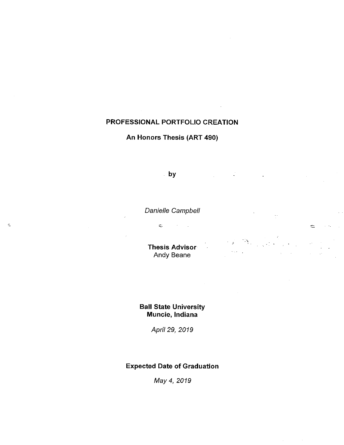# PROFESSIONAL PORTFOLIO CREATION

An Honors Thesis (ART 490)

by

Danielle Campbell

 $\mathfrak{S}^{\mathcal{A}}$  and  $\mathcal{A}^{\mathcal{A}}$  and  $\mathcal{A}^{\mathcal{A}}$ 

 $\subset$ 

Thesis Advisor Andy Beane

 $\frac{1}{2}$  .  $\frac{1}{2}$ 

 $\approx$ 

 $\mathcal{L}_{\text{max}} = \mathcal{L}_{\text{max}}$ 

Ball State University Muncie, Indiana

April 29, 2019

# Expected Date of Graduation

May4, 2019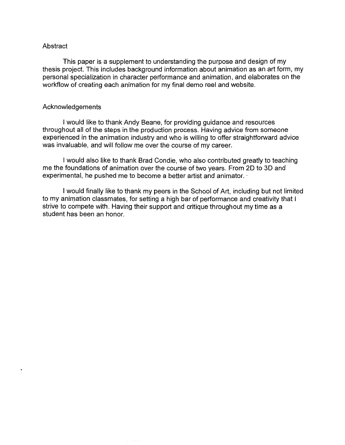# Abstract

This paper is a supplement to understanding the purpose and design of my thesis project. This includes background information about animation as an art form, my personal specialization in character performance and animation, and elaborates on the workflow of creating each animation for my final demo reel and website.

# Acknowledgements

I would like to thank Andy Beane, for providing guidance and resources throughout all of the steps in the production process. Having advice from someone experienced in the animation industry and who is willing to offer straightforward advice was invaluable, and will follow me over the course of my career.

I would also like to thank Brad Condie, who also contributed greatly to teaching me the foundations of animation over the course of two years. From 20 to 30 and experimental, he pushed me to become a better artist and animator. ·

I would finally like to thank my peers in the School of Art, including but not limited to my animation classmates, for setting a high bar of performance and creativity that I strive to compete with. Having their support and critique throughout my time as a student has been an honor.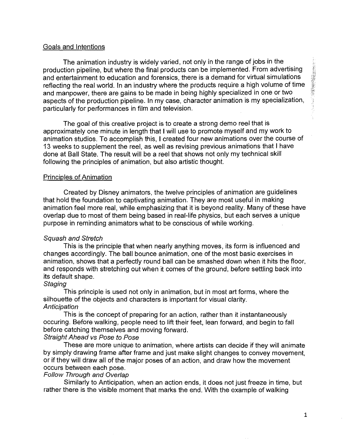#### Goals and Intentions

The animation industry is widely varied, not only in the range of jobs in the production pipeline, but where the final products can be implemented. From advertising and entertainment to education and forensics, there is a demand for virtual simulations reflecting the real world. In an industry where the products require a high volume of time and manpower, there are gains to be made in being highly specialized in one or two aspects of the production pipeline. In my case, character animation is my specialization, particularly for performances in film and television.

The goal of this creative project is to create a strong demo reel that is approximately one minute in length that I will use to promote myself and my work to animation studios. To accomplish this, I created four new animations over the course of 13 weeks to supplement the reel, as well as revising previous animations that I have done at Ball State. The result will be a reel that shows not only my technical skill following the principles of animation, but also artistic thought.

### Principles of Animation

Created by Disney animators, the twelve principles of animation are guidelines that hold the foundation to captivating animation. They are most useful in making animation feel more real, while emphasizing that it is beyond reality. Many of these have overlap due to most of them being based in real-life physics, but each serves a unique purpose in reminding animators what to be conscious of while working.

### Squash and Stretch

This is the principle that when nearly anything moves, its form is influenced and changes accordingly. The ball bounce animation, one of the most basic exercises in animation, shows that a perfectly round ball can be smashed down when it hits the floor, and responds with stretching out when it comes of the ground, before settling back into its default shape.

# **Staging**

This principle is used not only in animation, but in most art forms, where the silhouette of the objects and characters is important for visual clarity. Anticipation

This is the concept of preparing for an action, rather than it instantaneously occuring. Before walking, people need to lift their feet, lean forward, and begin to fall before catching themselves and moving forward.

# Straight Ahead vs Pose to Pose

These are more unique to animation, where artists can decide if they will animate by simply drawing frame after frame and just make slight changes to convey movement, or if they will draw all of the major poses of an action, and draw how the movement occurs between each pose.

#### Follow Through and Overlap

Similarly to Anticipation, when an action ends, it does not just freeze in time, but rather there is the visible moment that marks the end. With the example of walking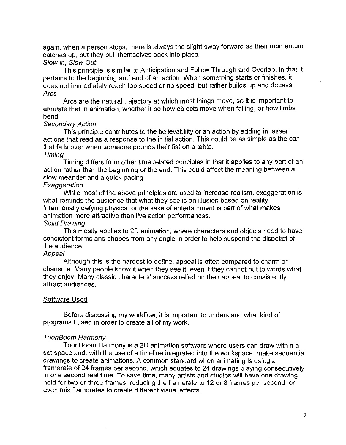again, when a person stops, there is always the slight sway forward as their momentum catches up, but they pull themselves back into place.

### Slow in, Slow Out

This principle is similar to Anticipation and Follow Through and Overlap, in that it pertains to the beginning and end of an action. When something starts or finishes, it does not immediately reach top speed or no speed, but rather builds up and decays. Arcs

Arcs are the natural trajectory at which most things move, so it is important to emulate that in animation, whether it be how objects move when falling, or how limbs bend.

# Secondary Action

This principle contributes to the believability of an action by adding in lesser actions that read as a response to the initial action. This could be as simple as the can that falls over when someone pounds their fist on a table. Timing

Timing differs from other time related principles in that it applies to any part of an action rather than the beginning or the end. This could affect the meaning between a slow meander and a quick pacing.

# **Exaggeration**

While most of the above principles are used to increase realism, exaggeration is what reminds the audience that what they see is an illusion based on reality. Intentionally defying physics for the sake of entertainment is part of what makes animation more attractive than live action performances.

# Solid Drawing

This mostly applies to 20 animation, where characters and objects need to have consistent forms and shapes from any angle in order to help suspend the disbelief of the audience.

# **Appeal**

Although this is the hardest to define, appeal is often compared to charm or charisma. Many people know it when they see it, even if they cannot put to words what they enjoy. Many classic characters' success relied on their appeal to consistently attract audiences.

### Software Used

Before discussing my workflow, it is important to understand what kind of programs I used in order to create all of my work.

### ToonBoom Harmony

ToonBoom Harmony is a 20 animation software where users can draw within a set space and, with the use of a timeline integrated into the workspace, make sequential drawings to create animations. A common standard when animating is using a framerate of 24 frames per second, which equates to 24 drawings playing consecutively in one second real time. To save time, many artists and studios will have one drawing hold for two or three frames, reducing the framerate to 12 or 8 frames per second, or even mix framerates to create different visual effects.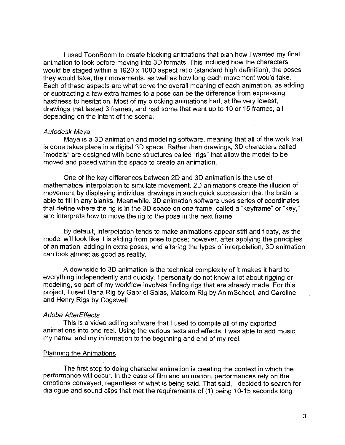I used ToonBoom to create blocking animations that plan how I wanted my final animation to look before moving into 3D formats. This included how the characters would be staged within a 1920 x 1080 aspect ratio (standard high definition), the poses they would take, their movements, as well as how long each movement would take. Each of these aspects are what serve the overall meaning of each animation, as adding or subtracting a few extra frames to a pose can be the difference from expressing hastiness to hesitation. Most of my blocking animations had, at the very lowest, drawings that lasted 3 frames, and had some that went up to 10 or 15 frames, all depending on the intent of the scene.

#### Autodesk Maya

Maya is a 3D animation and modeling software, meaning that all of the work that is done takes place in a digital 3D space. Rather than drawings, 3D characters called "models" are designed with bone structures called "rigs" that allow the model to be moved and posed within the space to create an animation.

One of the key differences between 2D and 3D animation is the use of mathematical interpolation to simulate movement. 2D animations create the illusion of movement by displaying individual drawings in such quick succession that the brain is able to fill in any blanks. Meanwhile, 3D animation software uses series of coordinates that define where the rig is in the 3D space on one frame, called a "keyframe" or "key," and interprets how to move the rig to the pose in the next frame.

By default, interpolation tends to make animations appear stiff and floaty, as the model will look like it is sliding from pose to pose; however, after applying the principles of animation, adding in extra poses, and altering the types of interpolation, 3D animation can look almost as good as reality.

A downside to 3D animation is the technical complexity of it makes it hard to everything independently and quickly. I personally do not know a lot about rigging or modeling, so part of my workflow involves finding rigs that are already made. For this project, I used Dana Rig by Gabriel Salas, Malcolm Rig by AnimSchool, and Caroline and Henry Rigs by Cogswell.

# Adobe AfterEffects

This is a video editing software that I used to compile all of my exported animations into one reel. Using the various texts and effects, I was able to add music, my name, and my information to the beginning and end of my reel.

#### Planning the Animations

The first step to doing character animation is creating the context in which the performance will occur. In the case of film and animation, performances rely on the emotions conveyed, regardless of what is being said. That said, I decided to search for dialogue and sound clips that met the requirements of (1) being 10-15 seconds long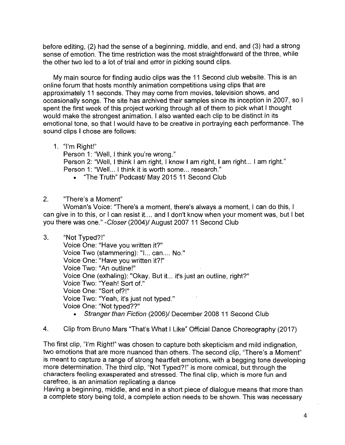before editing, (2) had the sense of a beginning, middle, and end, and (3) had a strong sense of emotion. The time restriction was the most straightforward of the three, while the other two led to a lot of trial and error in picking sound clips.

My main source for finding audio clips was the 11 Second club website. This is an online forum that hosts monthly animation competitions using clips that are approximately 11 seconds. They may come from movies, television shows, and occasionally songs. The site has archived their samples since its inception in 2007, so I spent the first week of this project working through all of them to pick what I thought would make the strongest animation. I also wanted each clip to be distinct in its emotional tone, so that I would have to be creative in portraying each performance. The sound clips I chose are follows:

1. "I'm Right!"

Person 1: "Well, I think you're wrong." Person 2: "Well, I think I am right, I know I am right, I am right... I am right." Person 1: "Well... I think it is worth some... research."

• "The Truth" Podcast/ May 2015 11 Second Club

# 2. "There's a Moment"

Woman's Voice: "There's a moment, there's always a moment, I can do this, I can give in to this, or I can resist it.... and I don't know when your moment was, but I bet you there was one." -Closer (2004)/ August 2007 11 Second Club

3. "Not Typed?!"

Voice One: "Have you written it?" Voice Two (stammering): "I... can.... No." Voice One: "Have you written it?!" Voice Two: "An outline!" Voice One (exhaling): "Okay. But it... it's just an outline, right?" Voice Two: "Yeah! Sort of." Voice One: "Sort of?!" Voice Two: "Yeah, it's just not typed." Voice One: "Not typed??"

• Stranger than Fiction (2006)1 December 2008 11 Second Club

# 4. Clip from Bruno Mars "That's What I Like" Official Dance Choreography (2017)

The first clip, "I'm Right!" was chosen to capture both skepticism and mild indignation, two emotions that are more nuanced than others. The second clip, "There's a Moment" is meant to capture a range of strong heartfelt emotions, with a begging tone developing more determination. The third clip, "Not Typed?!" is more comical, but through the characters feeling exasperated and stressed. The final clip, which is more fun and carefree, is an animation replicating a dance

Having a beginning, middle, and end in a short piece of dialogue means that more than a complete story being told, a complete action needs to be shown. This was necessary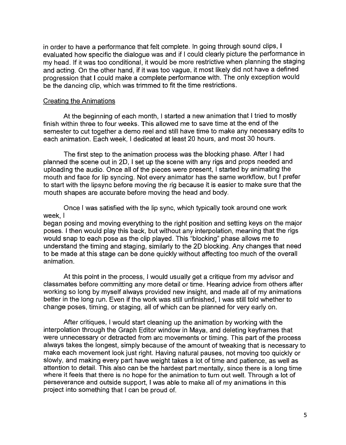in order to have a performance that felt complete. In going through sound clips, I evaluated how specific the dialogue was and if I could clearly picture the performance in my head. If it was too conditional, it would be more restrictive when planning the staging and acting. On the other hand, if it was too vague, it most likely did not have a defined progression that I could make a complete performance with. The only exception would be the dancing clip, which was trimmed to fit the time restrictions.

### Creating the Animations

At the beginning of each month, I started a new animation that I tried to mostly finish within three to four weeks. This allowed me to save time at the end of the semester to cut together a demo reel and still have time to make any necessary edits to each animation. Each week, I dedicated at least 20 hours, and most 30 hours.

The first step to the animation process was the blocking phase. After I had planned the scene out in 20, I set up the scene with any rigs and props needed and uploading the audio. Once all of the pieces were present, I started by animating the mouth and face for lip syncing. Not every animator has the same workflow, but I prefer to start with the lipsync before moving the rig because it is easier to make sure that the mouth shapes are accurate before moving the head and body.

Once I was satisfied with the lip sync, which typically took around one work week, I

began posing and moving everything to the right position and setting keys on the major poses. I then would play this back, but without any interpolation, meaning that the rigs would snap to each pose as the clip played. This "blocking" phase allows me to understand the timing and staging, similarly to the 20 blocking. Any changes that need to be made at this stage can be done quickly without affecting too much of the overall animation.

At this point in the process, I would usually get a critique from my advisor and classmates before committing any more detail or time. Hearing advice from others after working so long by myself always provided new insight, and made all of my animations better in the long run. Even if the work was still unfinished, I was still told whether to change poses, timing, or staging, all of which can be planned for very early on.

After critiques, I would start cleaning up the animation by working with the interpolation through the Graph Editor window in Maya, and deleting keyframes that were unnecessary or detracted from arc movements or timing. This part of the process always takes the longest, simply because of the amount of tweaking that is necessary to make each movement look just right. Having natural pauses, not moving too quickly or slowly, and making every part have weight takes a lot of time and patience, as well as attention to detail. This also can be the hardest part mentally, since there is a long time where it feels that there is no hope for the animation to turn out well. Through a lot of perseverance and outside support, I was able to make all of my animations in this project into something that I can be proud of.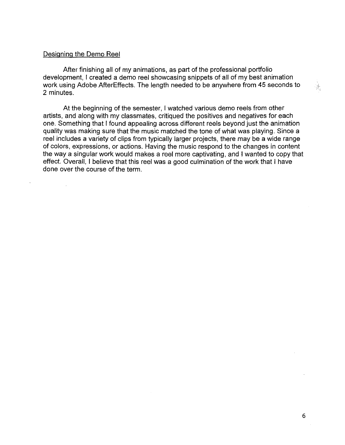### Designing the Demo Reel

After finishing all of my animations, as part of the professional portfolio development, I created a demo reel showcasing snippets of all of my best animation work using Adobe AfterEffects. The length needed to be anywhere from 45 seconds to 2 minutes.

At the beginning of the semester, I watched various demo reels from other artists, and along with my classmates, critiqued the positives and negatives for each one. Something that I found appealing across different reels beyond just the animation quality was making sure that the music matched the tone of what was playing. Since a reel includes a variety of clips from typically larger projects, there may be a wide range of colors, expressions, or actions. Having the music respond to the changes in content the way a singular work would makes a reel more captivating, and I wanted to copy that effect. Overall, I believe that this reel was a good culmination of the work that I have done over the course of the term.

뎾